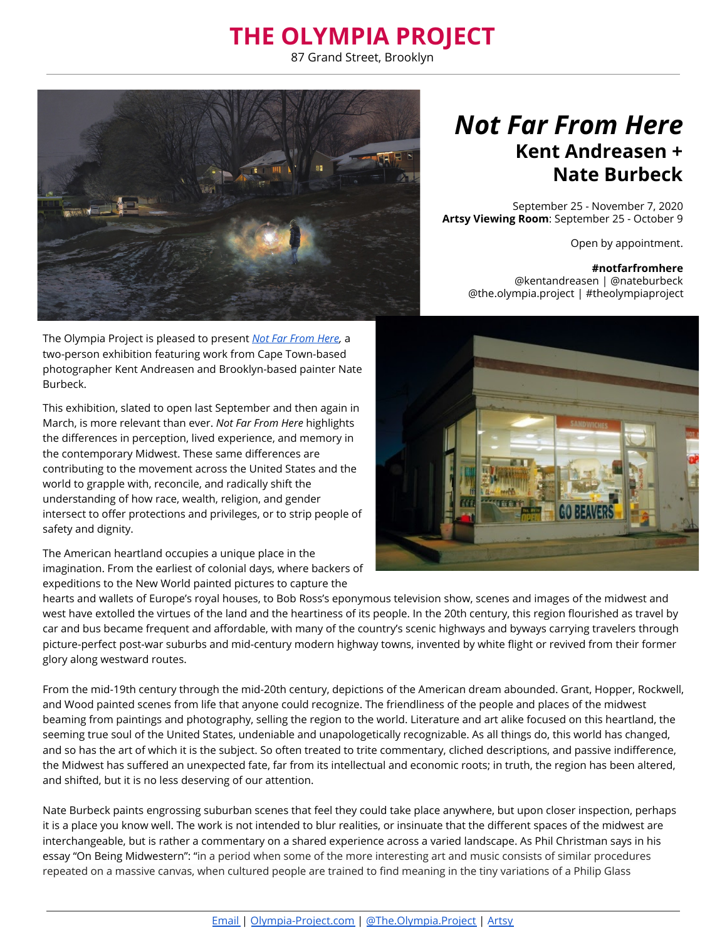## **THE OLYMPIA PROJECT**

87 Grand Street, Brooklyn



The Olympia Project is pleased to present *[Not Far From Here ,](https://www.olympia-project.com/not-far-from-here)* a two-person exhibition featuring work from Cape Town-based photographer Kent Andreasen and Brooklyn-based painter Nate Burbeck.

This exhibition, slated to open last September and then again in March, is more relevant than ever. *Not Far From Here* highlights the differences in perception, lived experience, and memory in the contemporary Midwest. These same differences are contributing to the movement across the United States and the world to grapple with, reconcile, and radically shift the understanding of how race, wealth, religion, and gender intersect to offer protections and privileges, or to strip people of safety and dignity.

The American heartland occupies a unique place in the imagination. From the earliest of colonial days, where backers of expeditions to the New World painted pictures to capture the

hearts and wallets of Europe's royal houses, to Bob Ross's eponymous television show, scenes and images of the midwest and west have extolled the virtues of the land and the heartiness of its people. In the 20th century, this region flourished as travel by car and bus became frequent and affordable, with many of the country's scenic highways and byways carrying travelers through picture-perfect post-war suburbs and mid-century modern highway towns, invented by white flight or revived from their former glory along westward routes.

From the mid-19th century through the mid-20th century, depictions of the American dream abounded. Grant, Hopper, Rockwell, and Wood painted scenes from life that anyone could recognize. The friendliness of the people and places of the midwest beaming from paintings and photography, selling the region to the world. Literature and art alike focused on this heartland, the seeming true soul of the United States, undeniable and unapologetically recognizable. As all things do, this world has changed, and so has the art of which it is the subject. So often treated to trite commentary, cliched descriptions, and passive indifference, the Midwest has suffered an unexpected fate, far from its intellectual and economic roots; in truth, the region has been altered, and shifted, but it is no less deserving of our attention.

Nate Burbeck paints engrossing suburban scenes that feel they could take place anywhere, but upon closer inspection, perhaps it is a place you know well. The work is not intended to blur realities, or insinuate that the different spaces of the midwest are interchangeable, but is rather a commentary on a shared experience across a varied landscape. As Phil Christman says in his essay "On Being Midwestern": "in a period when some of the more interesting art and music consists of similar procedures repeated on a massive canvas, when cultured people are trained to find meaning in the tiny variations of a Philip Glass

## *Not Far From Here* **Kent Andreasen + Nate Burbeck**

September 25 - November 7, 2020 **Artsy Viewing Room** : September 25 - October 9

Open by appointment.

## **#notfarfromhere**

@kentandreasen | @nateburbeck @the.olympia.project | #theolympiaproject